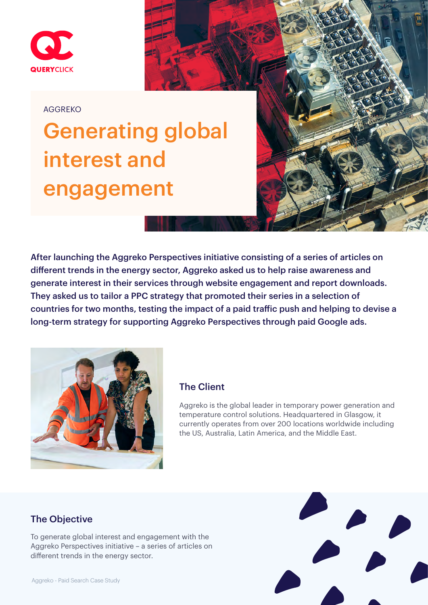

#### AGGREKO

# Generating global interest and engagement

After launching the Aggreko Perspectives initiative consisting of a series of articles on different trends in the energy sector, Aggreko asked us to help raise awareness and generate interest in their services through website engagement and report downloads. They asked us to tailor a PPC strategy that promoted their series in a selection of countries for two months, testing the impact of a paid traffic push and helping to devise a long-term strategy for supporting Aggreko Perspectives through paid Google ads.



### The Client

Aggreko is the global leader in temporary power generation and temperature control solutions. Headquartered in Glasgow, it currently operates from over 200 locations worldwide including the US, Australia, Latin America, and the Middle East.

## The Objective

To generate global interest and engagement with the Aggreko Perspectives initiative – a series of articles on different trends in the energy sector.